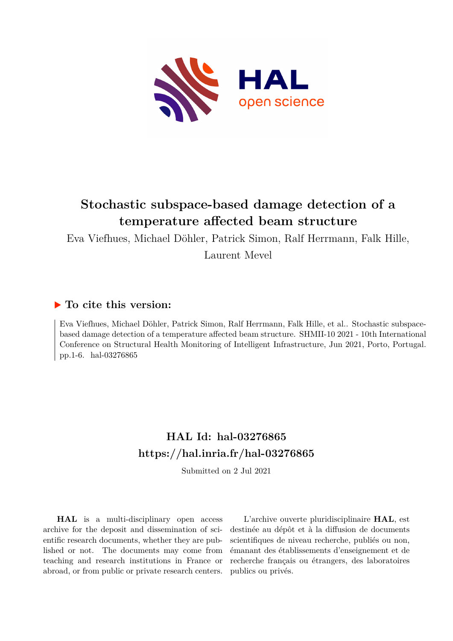

# **Stochastic subspace-based damage detection of a temperature affected beam structure**

Eva Viefhues, Michael Döhler, Patrick Simon, Ralf Herrmann, Falk Hille, Laurent Mevel

## **To cite this version:**

Eva Viefhues, Michael Döhler, Patrick Simon, Ralf Herrmann, Falk Hille, et al.. Stochastic subspacebased damage detection of a temperature affected beam structure. SHMII-10 2021 - 10th International Conference on Structural Health Monitoring of Intelligent Infrastructure, Jun 2021, Porto, Portugal. pp.1-6. hal-03276865

# **HAL Id: hal-03276865 <https://hal.inria.fr/hal-03276865>**

Submitted on 2 Jul 2021

**HAL** is a multi-disciplinary open access archive for the deposit and dissemination of scientific research documents, whether they are published or not. The documents may come from teaching and research institutions in France or abroad, or from public or private research centers.

L'archive ouverte pluridisciplinaire **HAL**, est destinée au dépôt et à la diffusion de documents scientifiques de niveau recherche, publiés ou non, émanant des établissements d'enseignement et de recherche français ou étrangers, des laboratoires publics ou privés.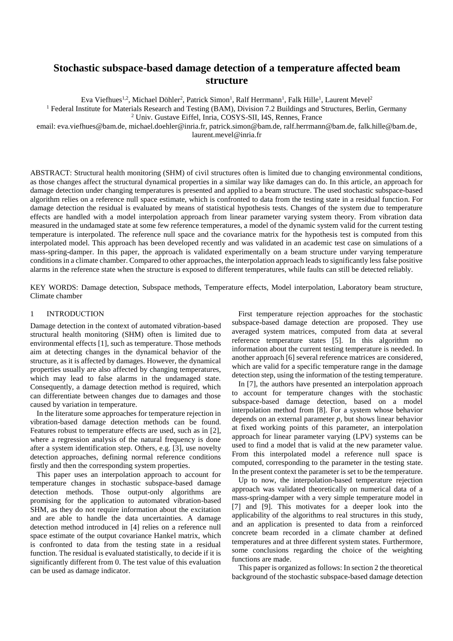## **Stochastic subspace-based damage detection of a temperature affected beam structure**

Eva Viefhues<sup>1,2</sup>, Michael Döhler<sup>2</sup>, Patrick Simon<sup>1</sup>, Ralf Herrmann<sup>1</sup>, Falk Hille<sup>1</sup>, Laurent Mevel<sup>2</sup>

<sup>1</sup> Federal Institute for Materials Research and Testing (BAM), Division 7.2 Buildings and Structures, Berlin, Germany <sup>2</sup> Univ. Gustave Eiffel, Inria, COSYS-SII, I4S, Rennes, France

email: [eva.viefhues@bam.de, michael.doehler@inria.fr, patrick.simon@bam.de, ralf.herrmann@bam.de, falk.hille@bam.de,](mailto:eva.viefhues@bam.de,%20michael.doheler@inria.fr,%20patrick.simon@bam.de,%20ralf.herrmann@bam.de,%20falk.hille@bam.de) laurent.mevel@inria.fr

ABSTRACT: Structural health monitoring (SHM) of civil structures often is limited due to changing environmental conditions, as those changes affect the structural dynamical properties in a similar way like damages can do. In this article, an approach for damage detection under changing temperatures is presented and applied to a beam structure. The used stochastic subspace-based algorithm relies on a reference null space estimate, which is confronted to data from the testing state in a residual function. For damage detection the residual is evaluated by means of statistical hypothesis tests. Changes of the system due to temperature effects are handled with a model interpolation approach from linear parameter varying system theory. From vibration data measured in the undamaged state at some few reference temperatures, a model of the dynamic system valid for the current testing temperature is interpolated. The reference null space and the covariance matrix for the hypothesis test is computed from this interpolated model. This approach has been developed recently and was validated in an academic test case on simulations of a mass-spring-damper. In this paper, the approach is validated experimentally on a beam structure under varying temperature conditions in a climate chamber. Compared to other approaches, the interpolation approach leads to significantly less false positive alarms in the reference state when the structure is exposed to different temperatures, while faults can still be detected reliably.

KEY WORDS: Damage detection, Subspace methods, Temperature effects, Model interpolation, Laboratory beam structure, Climate chamber

## 1 INTRODUCTION

Damage detection in the context of automated vibration-based structural health monitoring (SHM) often is limited due to environmental effects [\[1\],](#page-6-0) such as temperature. Those methods aim at detecting changes in the dynamical behavior of the structure, as it is affected by damages. However, the dynamical properties usually are also affected by changing temperatures, which may lead to false alarms in the undamaged state. Consequently, a damage detection method is required, which can differentiate between changes due to damages and those caused by variation in temperature.

In the literature some approaches for temperature rejection in vibration-based damage detection methods can be found. Features robust to temperature effects are used, such as in [\[2\],](#page-6-1) where a regression analysis of the natural frequency is done after a system identification step. Others, e.g. [\[3\],](#page-6-2) use novelty detection approaches, defining normal reference conditions firstly and then the corresponding system properties.

This paper uses an interpolation approach to account for temperature changes in stochastic subspace-based damage detection methods. Those output-only algorithms are promising for the application to automated vibration-based SHM, as they do not require information about the excitation and are able to handle the data uncertainties. A damage detection method introduced in [\[4\]](#page-6-3) relies on a reference null space estimate of the output covariance Hankel matrix, which is confronted to data from the testing state in a residual function. The residual is evaluated statistically, to decide if it is significantly different from 0. The test value of this evaluation can be used as damage indicator.

First temperature rejection approaches for the stochastic subspace-based damage detection are proposed. They use averaged system matrices, computed from data at several reference temperature states [\[5\].](#page-6-4) In this algorithm no information about the current testing temperature is needed. In another approac[h \[6\]](#page-6-5) several reference matrices are considered, which are valid for a specific temperature range in the damage detection step, using the information of the testing temperature.

In [\[7\],](#page-6-6) the authors have presented an interpolation approach to account for temperature changes with the stochastic subspace-based damage detection, based on a model interpolation method from [\[8\].](#page-6-7) For a system whose behavior depends on an external parameter *p*, but shows linear behavior at fixed working points of this parameter, an interpolation approach for linear parameter varying (LPV) systems can be used to find a model that is valid at the new parameter value. From this interpolated model a reference null space is computed, corresponding to the parameter in the testing state. In the present context the parameter is set to be the temperature.

Up to now, the interpolation-based temperature rejection approach was validated theoretically on numerical data of a mass-spring-damper with a very simple temperature model in [\[7\]](#page-6-6) and [\[9\].](#page-6-8) This motivates for a deeper look into the applicability of the algorithms to real structures in this study, and an application is presented to data from a reinforced concrete beam recorded in a climate chamber at defined temperatures and at three different system states. Furthermore, some conclusions regarding the choice of the weighting functions are made.

This paper is organized as follows: In section 2 the theoretical background of the stochastic subspace-based damage detection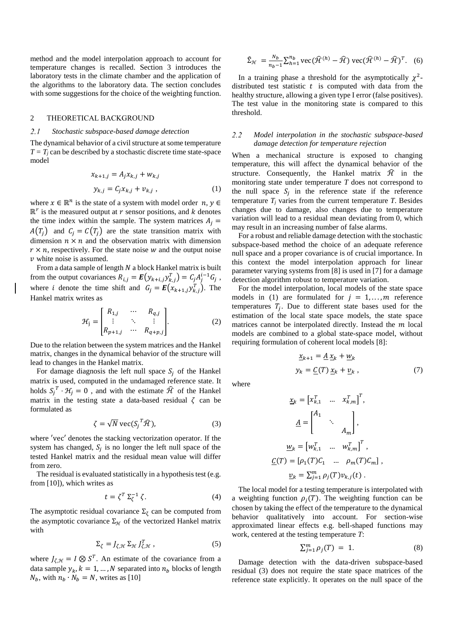method and the model interpolation approach to account for temperature changes is recalled. Section 3 introduces the laboratory tests in the climate chamber and the application of the algorithms to the laboratory data. The section concludes with some suggestions for the choice of the weighting function.

#### 2 THEORETICAL BACKGROUND

#### $2.1$ *Stochastic subspace-based damage detection*

The dynamical behavior of a civil structure at some temperature  $T = T_i$  can be described by a stochastic discrete time state-space model

$$
\begin{aligned} x_{k+1,j} &= A_j x_{k,j} + w_{k,j} \\ y_{k,j} &= C_j x_{k,j} + v_{k,j} \,, \end{aligned} \tag{1}
$$

where  $x \in \mathbb{R}^n$  is the state of a system with model order  $n, y \in$  $\mathbb{R}^r$  is the measured output at  $r$  sensor positions, and  $k$  denotes the time index within the sample. The system matrices  $A_i =$  $A(T_i)$  and  $C_i = C(T_i)$  are the state transition matrix with dimension  $n \times n$  and the observation matrix with dimension  $r \times n$ , respectively. For the state noise w and the output noise  $\nu$  white noise is assumed.

From a data sample of length  $N$  a block Hankel matrix is built from the output covariances  $R_{i,j} = \mathbf{E}(y_{k+i,j}y_{k,j}^T) = C_j A_j^{i-1} G_j$ , where *i* denote the time shift and  $G_j = E(x_{k+1,j}y_{k,j}^T)$ . The Hankel matrix writes as

$$
\mathcal{H}_{j} = \begin{bmatrix} R_{1,j} & \cdots & R_{q,j} \\ \vdots & \ddots & \vdots \\ R_{p+1,j} & \cdots & R_{q+p,j} \end{bmatrix} . \tag{2}
$$

Due to the relation between the system matrices and the Hankel matrix, changes in the dynamical behavior of the structure will lead to changes in the Hankel matrix.

For damage diagnosis the left null space  $S_i$  of the Hankel matrix is used, computed in the undamaged reference state. It holds  $S_j^T \cdot \mathcal{H}_j = 0$ , and with the estimate  $\hat{\mathcal{H}}$  of the Hankel matrix in the testing state a data-based residual  $\zeta$  can be formulated as

$$
\zeta = \sqrt{N} \operatorname{vec}(S_j^T \widehat{\mathcal{H}}),\tag{3}
$$

where 'vec' denotes the stacking vectorization operator. If the system has changed,  $S_j$  is no longer the left null space of the tested Hankel matrix and the residual mean value will differ from zero.

The residual is evaluated statistically in a hypothesis test (e.g. from [\[10\]\)](#page-6-9), which writes as

$$
t = \zeta^T \Sigma_{\zeta}^{-1} \zeta. \tag{4}
$$

The asymptotic residual covariance  $\Sigma_{\zeta}$  can be computed from the asymptotic covariance  $\Sigma_{\mathcal{H}}$  of the vectorized Hankel matrix with

$$
\Sigma_{\zeta} = J_{\zeta, \mathcal{H}} \Sigma_{\mathcal{H}} J_{\zeta, \mathcal{H}}^{T}, \qquad (5)
$$

where  $J_{\zeta,\mathcal{H}} = I \otimes S^{T}$ . An estimate of the covariance from a data sample  $y_k$ ,  $k = 1, ..., N$  separated into  $n_b$  blocks of length  $N_b$ , with  $n_b \cdot N_b = N$ , writes as [\[10\]](#page-6-9)

$$
\hat{\Sigma}_{\mathcal{H}} = \frac{N_b}{n_b - 1} \sum_{h=1}^{n_b} \text{vec}(\widehat{\mathcal{H}}^{(h)} - \widehat{\mathcal{H}}) \text{vec}(\widehat{\mathcal{H}}^{(h)} - \widehat{\mathcal{H}})^T. \quad (6)
$$

In a training phase a threshold for the asymptotically  $\chi^2$ distributed test statistic  $t$  is computed with data from the healthy structure, allowing a given type I error (false positives). The test value in the monitoring state is compared to this threshold.

#### $2.2$ *Model interpolation in the stochastic subspace-based damage detection for temperature rejection*

When a mechanical structure is exposed to changing temperature, this will affect the dynamical behavior of the structure. Consequently, the Hankel matrix  $\hat{\mathcal{H}}$  in the monitoring state under temperature *T* does not correspond to the null space  $S_j$  in the reference state if the reference temperature  $T_i$  varies from the current temperature  $T_i$ . Besides changes due to damage, also changes due to temperature variation will lead to a residual mean deviating from 0, which may result in an increasing number of false alarms.

For a robust and reliable damage detection with the stochastic subspace-based method the choice of an adequate reference null space and a proper covariance is of crucial importance. In this context the model interpolation approach for linear parameter varying systems from [\[8\]](#page-6-7) is used i[n \[7\]](#page-6-6) for a damage detection algorithm robust to temperature variation.

For the model interpolation, local models of the state space models in (1) are formulated for  $j = 1, \ldots, m$  reference temperatures  $T_j$ . Due to different state bases used for the estimation of the local state space models, the state space matrices cannot be interpolated directly. Instead the  $m$  local models are combined to a global state-space model, without requiring formulation of coherent local models [\[8\]:](#page-6-7)

$$
\underline{x}_{k+1} = \underline{A} \underline{x}_k + \underline{w}_k
$$
  

$$
y_k = \underline{C}(T) \underline{x}_k + \underline{v}_k,
$$
 (7)

where

 $\underline{C}$ 

$$
\underline{x}_{k} = \begin{bmatrix} x_{k,1}^{T} & \dots & x_{k,m}^{T} \end{bmatrix}^{T},
$$

$$
\underline{A} = \begin{bmatrix} A_{1} & & \\ & \ddots & \\ & & A_{m} \end{bmatrix},
$$

$$
\underline{w}_{k} = \begin{bmatrix} w_{k,1}^{T} & \dots & w_{k,m}^{T} \end{bmatrix}^{T},
$$

$$
(T) = \begin{bmatrix} \rho_{1}(T)C_{1} & \dots & \rho_{m}(T)C_{m} \end{bmatrix},
$$

$$
\underline{v}_{k} = \sum_{j=1}^{m} \rho_{j}(T) v_{k,j}(t).
$$

The local model for a testing temperature is interpolated with a weighting function  $\rho_i(T)$ . The weighting function can be chosen by taking the effect of the temperature to the dynamical behavior qualitatively into account. For section-wise approximated linear effects e.g. bell-shaped functions may work, centered at the testing temperature *T*:

$$
\sum_{j=1}^{m} \rho_j(T) = 1. \tag{8}
$$

Damage detection with the data-driven subspace-based residual (3) does not require the state space matrices of the reference state explicitly. It operates on the null space of the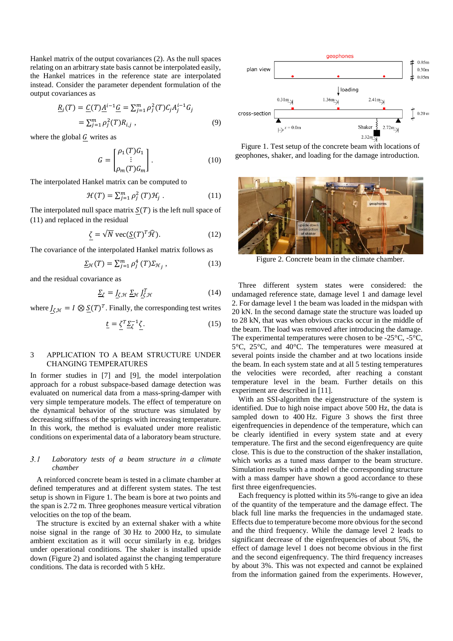Hankel matrix of the output covariances (2). As the null spaces relating on an arbitrary state basis cannot be interpolated easily, the Hankel matrices in the reference state are interpolated instead. Consider the parameter dependent formulation of the output covariances as

$$
\underline{R}_{i}(T) = \underline{C}(T)\underline{A}^{i-1}\underline{G} = \sum_{j=1}^{m} \rho_{j}^{2}(T)C_{j}A_{j}^{i-1}G_{j}
$$
\n
$$
= \sum_{j=1}^{m} \rho_{j}^{2}(T)R_{i,j}, \qquad (9)
$$

where the global  $G$  writes as

$$
G = \begin{bmatrix} \rho_1(T)G_1 \\ \vdots \\ \rho_m(T)G_m \end{bmatrix} . \tag{10}
$$

The interpolated Hankel matrix can be computed to

$$
\mathcal{H}(T) = \sum_{j=1}^{m} \rho_j^2(T) \mathcal{H}_j . \qquad (11)
$$

The interpolated null space matrix  $S(T)$  is the left null space of (11) and replaced in the residual

$$
\zeta = \sqrt{N} \operatorname{vec}(\underline{S}(T)^T \widehat{\mathcal{H}}). \tag{12}
$$

The covariance of the interpolated Hankel matrix follows as

$$
\underline{\Sigma}_{\mathcal{H}}(T) = \sum_{j=1}^{m} \rho_j^4(T) \Sigma_{\mathcal{H}_j}, \qquad (13)
$$

and the residual covariance as

$$
\underline{\Sigma}_{\zeta} = \underline{J}_{\zeta, \mathcal{H}} \, \underline{\Sigma}_{\mathcal{H}} \, \underline{J}_{\zeta, \mathcal{H}}^T \tag{14}
$$

where  $J_{\zeta,\mathcal{H}} = I \otimes \underline{S}(T)^T$ . Finally, the corresponding test writes

$$
\underline{t} = \underline{\zeta}^T \underline{\Sigma}^{-1} \underline{\zeta}.\tag{15}
$$

## 3 APPLICATION TO A BEAM STRUCTURE UNDER CHANGING TEMPERATURES

In former studies in [\[7\]](#page-6-6) and [\[9\],](#page-6-8) the model interpolation approach for a robust subspace-based damage detection was evaluated on numerical data from a mass-spring-damper with very simple temperature models. The effect of temperature on the dynamical behavior of the structure was simulated by decreasing stiffness of the springs with increasing temperature. In this work, the method is evaluated under more realistic conditions on experimental data of a laboratory beam structure.

#### $3.1$ *Laboratory tests of a beam structure in a climate chamber*

A reinforced concrete beam is tested in a climate chamber at defined temperatures and at different system states. The test setup is shown in [Figure 1.](#page-3-0) The beam is bore at two points and the span is 2.72 m. Three geophones measure vertical vibration velocities on the top of the beam.

The structure is excited by an external shaker with a white noise signal in the range of 30 Hz to 2000 Hz, to simulate ambient excitation as it will occur similarly in e.g. bridges under operational conditions. The shaker is installed upside down [\(Figure 2\)](#page-3-1) and isolated against the changing temperature conditions. The data is recorded with 5 kHz.



<span id="page-3-0"></span>Figure 1. Test setup of the concrete beam with locations of geophones, shaker, and loading for the damage introduction.



Figure 2. Concrete beam in the climate chamber.

<span id="page-3-1"></span>Three different system states were considered: the undamaged reference state, damage level 1 and damage level 2. For damage level 1 the beam was loaded in the midspan with 20 kN. In the second damage state the structure was loaded up to 28 kN, that was when obvious cracks occur in the middle of the beam. The load was removed after introducing the damage. The experimental temperatures were chosen to be -25°C, -5°C, 5°C, 25°C, and 40°C. The temperatures were measured at several points inside the chamber and at two locations inside the beam. In each system state and at all 5 testing temperatures the velocities were recorded, after reaching a constant temperature level in the beam. Further details on this experiment are described in [\[11\].](#page-6-10)

With an SSI-algorithm the eigenstructure of the system is identified. Due to high noise impact above 500 Hz, the data is sampled down to 400 Hz. [Figure 3](#page-4-0) shows the first three eigenfrequencies in dependence of the temperature, which can be clearly identified in every system state and at every temperature. The first and the second eigenfrequency are quite close. This is due to the construction of the shaker installation, which works as a tuned mass damper to the beam structure. Simulation results with a model of the corresponding structure with a mass damper have shown a good accordance to these first three eigenfrequencies.

Each frequency is plotted within its 5%-range to give an idea of the quantity of the temperature and the damage effect. The black full line marks the frequencies in the undamaged state. Effects due to temperature become more obvious for the second and the third frequency. While the damage level 2 leads to significant decrease of the eigenfrequencies of about 5%, the effect of damage level 1 does not become obvious in the first and the second eigenfrequency. The third frequency increases by about 3%. This was not expected and cannot be explained from the information gained from the experiments. However,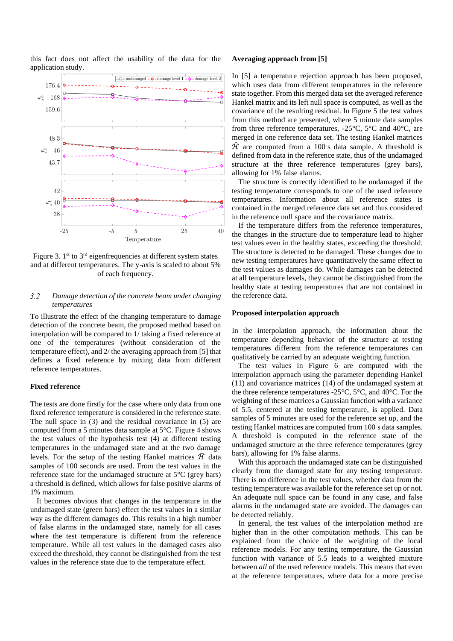this fact does not affect the usability of the data for the application study.



<span id="page-4-0"></span>Figure 3.  $1<sup>st</sup>$  to  $3<sup>rd</sup>$  eigenfrequencies at different system states and at different temperatures. The y-axis is scaled to about 5% of each frequency.

#### $3.2$ *Damage detection of the concrete beam under changing temperatures*

To illustrate the effect of the changing temperature to damage detection of the concrete beam, the proposed method based on interpolation will be compared to 1/ taking a fixed reference at one of the temperatures (without consideration of the temperature effect), and 2/ the averaging approach from [\[5\]](#page-6-4) that defines a fixed reference by mixing data from different reference temperatures.

### **Fixed reference**

The tests are done firstly for the case where only data from one fixed reference temperature is considered in the reference state. The null space in (3) and the residual covariance in (5) are computed from a 5 minutes data sample at 5°C. [Figure 4](#page-5-0) shows the test values of the hypothesis test (4) at different testing temperatures in the undamaged state and at the two damage levels. For the setup of the testing Hankel matrices  $\hat{\mathcal{H}}$  data samples of 100 seconds are used. From the test values in the reference state for the undamaged structure at 5°C (grey bars) a threshold is defined, which allows for false positive alarms of 1% maximum.

It becomes obvious that changes in the temperature in the undamaged state (green bars) effect the test values in a similar way as the different damages do. This results in a high number of false alarms in the undamaged state, namely for all cases where the test temperature is different from the reference temperature. While all test values in the damaged cases also exceed the threshold, they cannot be distinguished from the test values in the reference state due to the temperature effect.

### **Averaging approach from [5]**

In [\[5\]](#page-6-4) a temperature rejection approach has been proposed, which uses data from different temperatures in the reference state together. From this merged data set the averaged reference Hankel matrix and its left null space is computed, as well as the covariance of the resulting residual. In [Figure 5](#page-5-1) the test values from this method are presented, where 5 minute data samples from three reference temperatures, -25°C, 5°C and 40°C, are merged in one reference data set. The testing Hankel matrices  $\hat{H}$  are computed from a 100 s data sample. A threshold is defined from data in the reference state, thus of the undamaged structure at the three reference temperatures (grey bars), allowing for 1% false alarms.

The structure is correctly identified to be undamaged if the testing temperature corresponds to one of the used reference temperatures. Information about all reference states is contained in the merged reference data set and thus considered in the reference null space and the covariance matrix.

If the temperature differs from the reference temperatures, the changes in the structure due to temperature lead to higher test values even in the healthy states, exceeding the threshold. The structure is detected to be damaged. These changes due to new testing temperatures have quantitatively the same effect to the test values as damages do. While damages can be detected at all temperature levels, they cannot be distinguished from the healthy state at testing temperatures that are not contained in the reference data.

#### **Proposed interpolation approach**

In the interpolation approach, the information about the temperature depending behavior of the structure at testing temperatures different from the reference temperatures can qualitatively be carried by an adequate weighting function.

The test values in [Figure 6](#page-5-2) are computed with the interpolation approach using the parameter depending Hankel (11) and covariance matrices (14) of the undamaged system at the three reference temperatures -25°C, 5°C, and 40°C. For the weighting of these matrices a Gaussian function with a variance of 5.5, centered at the testing temperature, is applied. Data samples of 5 minutes are used for the reference set up, and the testing Hankel matrices are computed from 100 s data samples. A threshold is computed in the reference state of the undamaged structure at the three reference temperatures (grey bars), allowing for 1% false alarms.

With this approach the undamaged state can be distinguished clearly from the damaged state for any testing temperature. There is no difference in the test values, whether data from the testing temperature was available for the reference set up or not. An adequate null space can be found in any case, and false alarms in the undamaged state are avoided. The damages can be detected reliably.

In general, the test values of the interpolation method are higher than in the other computation methods. This can be explained from the choice of the weighting of the local reference models. For any testing temperature, the Gaussian function with variance of 5.5 leads to a weighted mixture between *all* of the used reference models. This means that even at the reference temperatures, where data for a more precise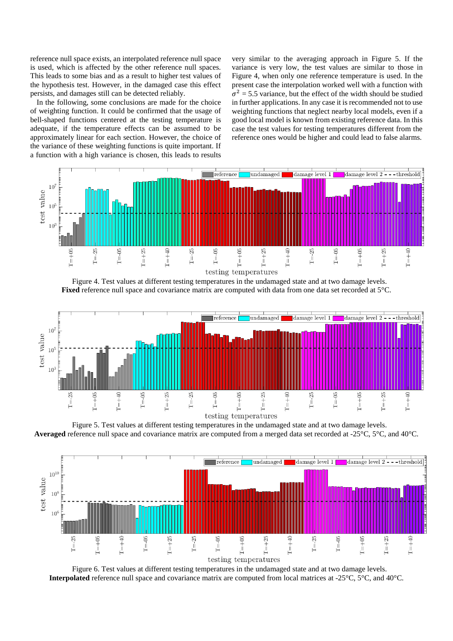reference null space exists, an interpolated reference null space is used, which is affected by the other reference null spaces. This leads to some bias and as a result to higher test values of the hypothesis test. However, in the damaged case this effect persists, and damages still can be detected reliably.

In the following, some conclusions are made for the choice of weighting function. It could be confirmed that the usage of bell-shaped functions centered at the testing temperature is adequate, if the temperature effects can be assumed to be approximately linear for each section. However, the choice of the variance of these weighting functions is quite important. If a function with a high variance is chosen, this leads to results

very similar to the averaging approach in [Figure 5.](#page-5-1) If the variance is very low, the test values are similar to those in [Figure 4,](#page-5-0) when only one reference temperature is used. In the present case the interpolation worked well with a function with  $\sigma^2$  = 5.5 variance, but the effect of the width should be studied in further applications. In any case it is recommended not to use weighting functions that neglect nearby local models, even if a good local model is known from existing reference data. In this case the test values for testing temperatures different from the reference ones would be higher and could lead to false alarms.



Figure 4. Test values at different testing temperatures in the undamaged state and at two damage levels. **Fixed** reference null space and covariance matrix are computed with data from one data set recorded at 5°C.

<span id="page-5-0"></span>

<span id="page-5-1"></span>Figure 5. Test values at different testing temperatures in the undamaged state and at two damage levels. **Averaged** reference null space and covariance matrix are computed from a merged data set recorded at -25°C, 5°C, and 40°C.



<span id="page-5-2"></span>Figure 6. Test values at different testing temperatures in the undamaged state and at two damage levels. **Interpolated** reference null space and covariance matrix are computed from local matrices at -25°C, 5°C, and 40°C.